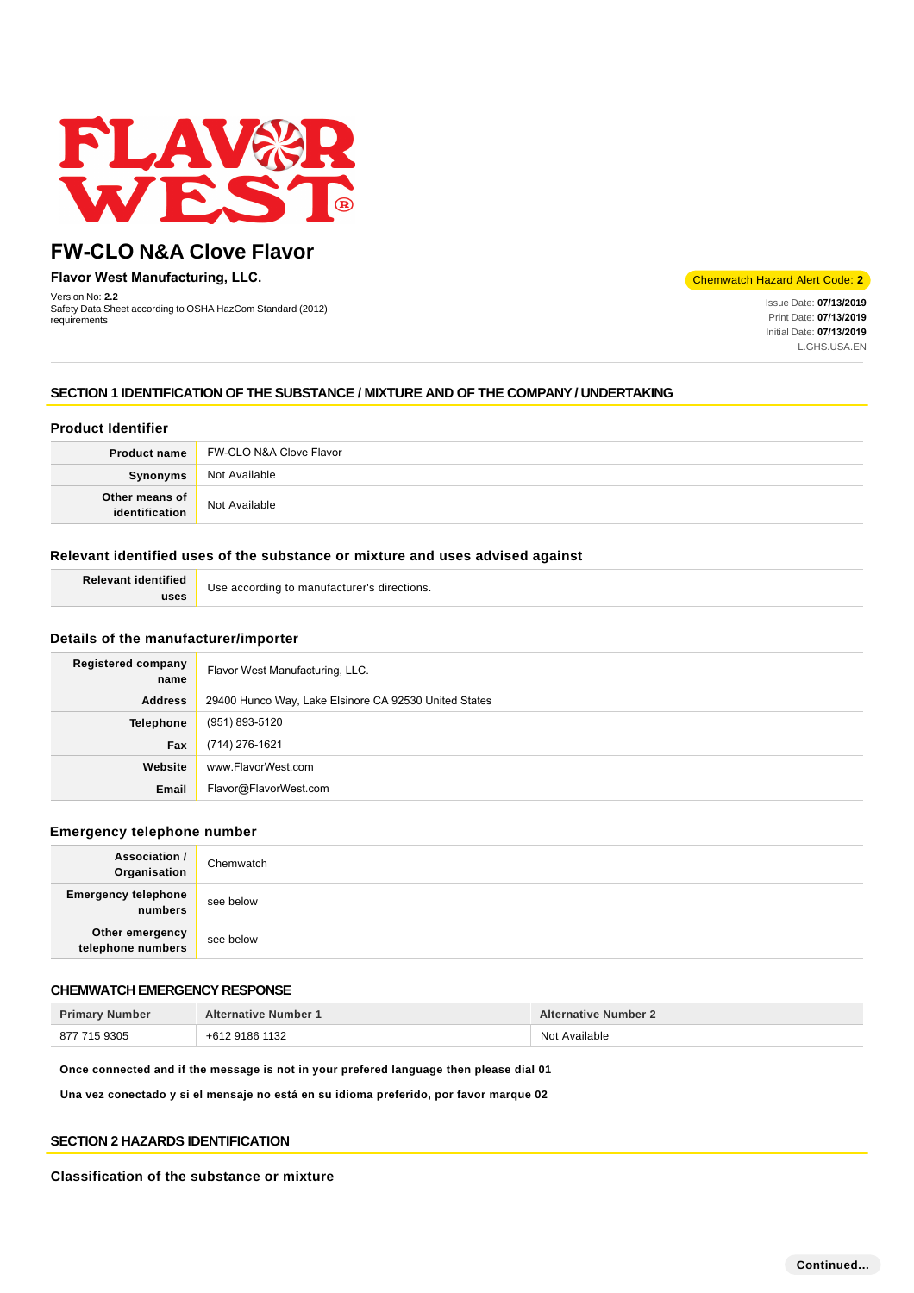

**Flavor West Manufacturing, LLC.**

Version No: **2.2** Safety Data Sheet according to OSHA HazCom Standard (2012) requirements

#### Chemwatch Hazard Alert Code: **2**

Issue Date: **07/13/2019**  Print Date: **07/13/2019**  Initial Date: **07/13/2019**  L.GHS.USA.EN

# **SECTION 1 IDENTIFICATION OF THE SUBSTANCE / MIXTURE AND OF THE COMPANY / UNDERTAKING**

# **Product Identifier**

| <b>Product name</b>              | FW-CLO N&A Clove Flavor |
|----------------------------------|-------------------------|
| <b>Synonyms</b>                  | Not Available           |
| Other means of<br>identification | Not Available           |

# **Relevant identified uses of the substance or mixture and uses advised against**

| <b>Relevant identified</b> | Use according to manufacturer's directions. |
|----------------------------|---------------------------------------------|
| uses                       |                                             |

# **Details of the manufacturer/importer**

| <b>Registered company</b><br>name | Flavor West Manufacturing, LLC.                       |
|-----------------------------------|-------------------------------------------------------|
| <b>Address</b>                    | 29400 Hunco Way, Lake Elsinore CA 92530 United States |
| <b>Telephone</b>                  | (951) 893-5120                                        |
| Fax                               | (714) 276-1621                                        |
| Website                           | www.FlavorWest.com                                    |
| Email                             | Flavor@FlavorWest.com                                 |

# **Emergency telephone number**

| <b>Association /</b><br>Organisation  | Chemwatch |
|---------------------------------------|-----------|
| <b>Emergency telephone</b><br>numbers | see below |
| Other emergency<br>telephone numbers  | see below |

# **CHEMWATCH EMERGENCY RESPONSE**

| <b>Primary Number</b> | <b>Alternative Number 1</b> | <b>Alternative Number 2</b> |
|-----------------------|-----------------------------|-----------------------------|
| 877 715 9305          | +612 9186 1132              | Not Available               |

**Once connected and if the message is not in your prefered language then please dial 01**

**Una vez conectado y si el mensaje no está en su idioma preferido, por favor marque 02**

# **SECTION 2 HAZARDS IDENTIFICATION**

### **Classification of the substance or mixture**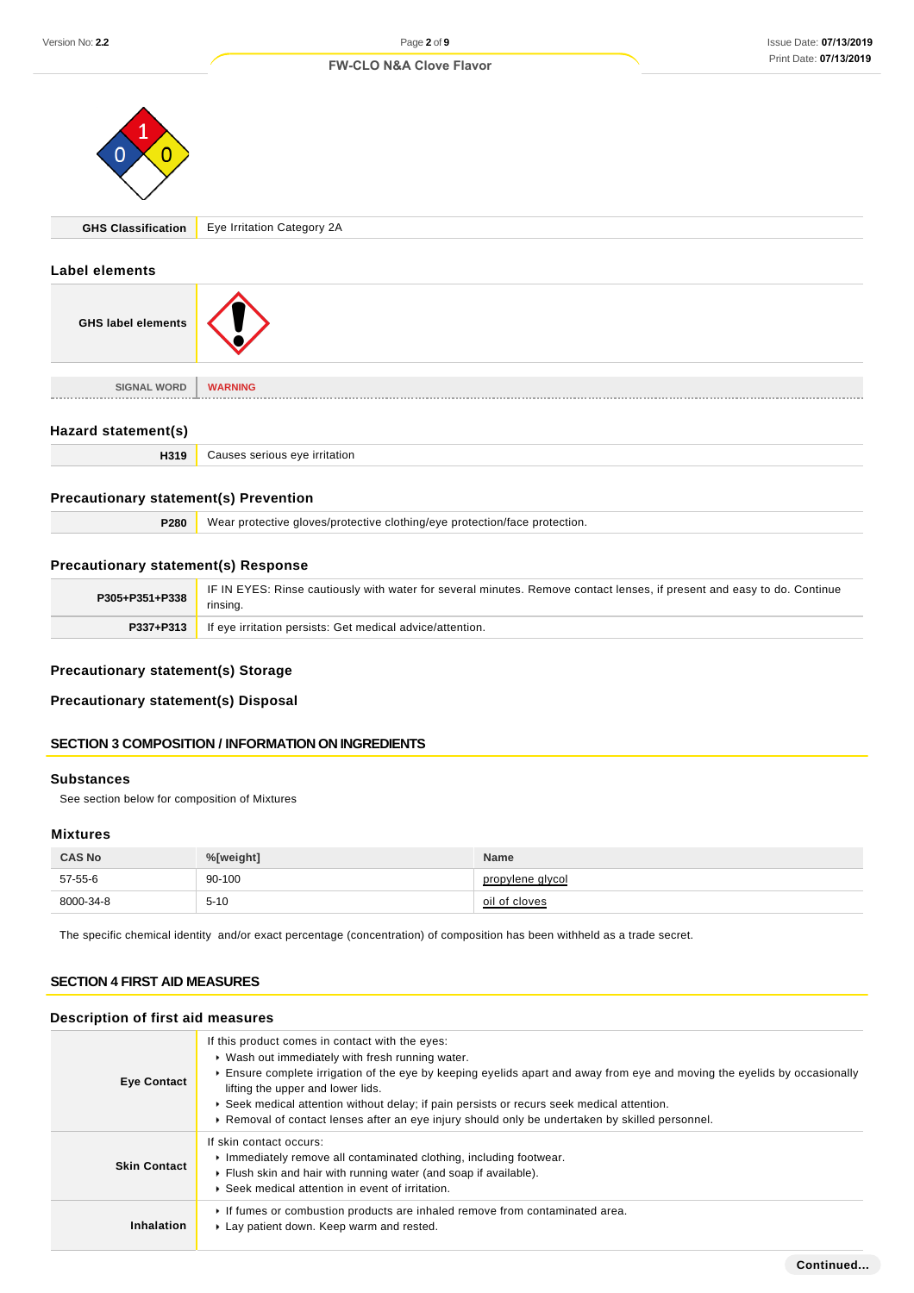#### Issue Date: **07/13/2019**  Print Date: **07/13/2019**

|                                              | <b>FW-CLO N&amp;A Clove Flavor</b><br>$\frac{1}{2}$ in the Date: $\frac{1}{2}$ is $\frac{1}{2}$ in the Date: |
|----------------------------------------------|--------------------------------------------------------------------------------------------------------------|
| O<br>O                                       |                                                                                                              |
| <b>GHS Classification</b>                    | Eye Irritation Category 2A                                                                                   |
| <b>Label elements</b>                        |                                                                                                              |
| <b>GHS label elements</b>                    |                                                                                                              |
| <b>SIGNAL WORD</b>                           | <b>WARNING</b>                                                                                               |
| Hazard statement(s)                          |                                                                                                              |
| H319                                         | Causes serious eye irritation                                                                                |
| <b>Precautionary statement(s) Prevention</b> |                                                                                                              |
| P280                                         | Wear protective gloves/protective clothing/eye protection/face protection.                                   |
|                                              |                                                                                                              |

# **Precautionary statement(s) Response**

| P305+P351+P338 | IF IN EYES: Rinse cautiously with water for several minutes. Remove contact lenses, if present and easy to do. Continue<br>rinsing. |
|----------------|-------------------------------------------------------------------------------------------------------------------------------------|
| P337+P313      | If eye irritation persists: Get medical advice/attention.                                                                           |

# **Precautionary statement(s) Storage**

# **Precautionary statement(s) Disposal**

# **SECTION 3 COMPOSITION / INFORMATION ON INGREDIENTS**

# **Substances**

See section below for composition of Mixtures

# **Mixtures**

| <b>CAS No</b> | %[weight] | <b>Name</b>      |
|---------------|-----------|------------------|
| 57-55-6       | 90-100    | propylene glycol |
| 8000-34-8     | $5 - 10$  | oil of cloves    |

The specific chemical identity and/or exact percentage (concentration) of composition has been withheld as a trade secret.

# **SECTION 4 FIRST AID MEASURES**

# **Description of first aid measures**

| <b>Eye Contact</b>  | If this product comes in contact with the eyes:<br>▶ Wash out immediately with fresh running water.<br>Ensure complete irrigation of the eye by keeping eyelids apart and away from eye and moving the eyelids by occasionally<br>lifting the upper and lower lids.<br>► Seek medical attention without delay; if pain persists or recurs seek medical attention.<br>▶ Removal of contact lenses after an eye injury should only be undertaken by skilled personnel. |
|---------------------|----------------------------------------------------------------------------------------------------------------------------------------------------------------------------------------------------------------------------------------------------------------------------------------------------------------------------------------------------------------------------------------------------------------------------------------------------------------------|
| <b>Skin Contact</b> | If skin contact occurs:<br>Inmediately remove all contaminated clothing, including footwear.<br>Flush skin and hair with running water (and soap if available).<br>▶ Seek medical attention in event of irritation.                                                                                                                                                                                                                                                  |
| Inhalation          | If fumes or combustion products are inhaled remove from contaminated area.<br>Lay patient down. Keep warm and rested.                                                                                                                                                                                                                                                                                                                                                |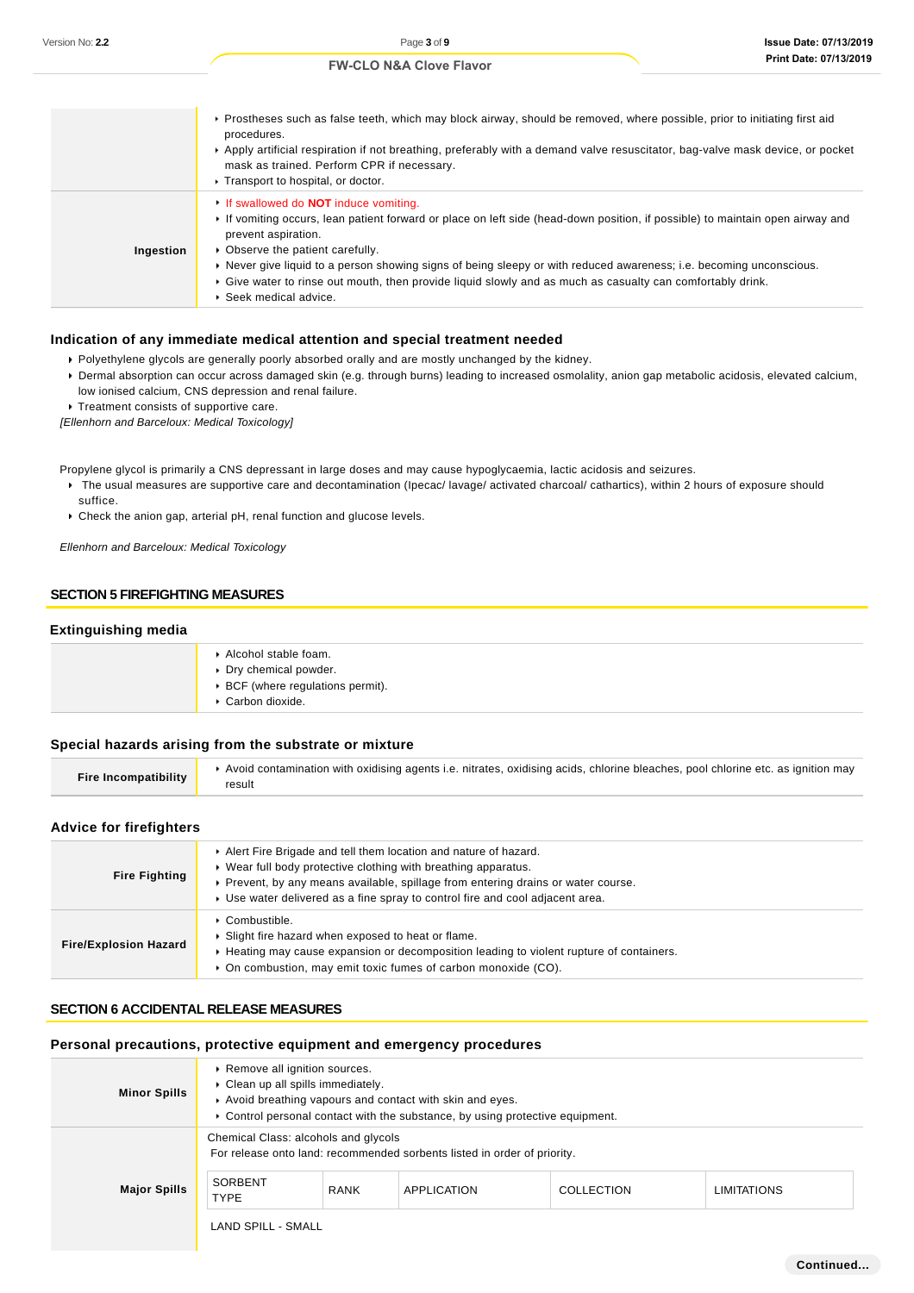|           | ▶ Prostheses such as false teeth, which may block airway, should be removed, where possible, prior to initiating first aid<br>procedures.<br>Apply artificial respiration if not breathing, preferably with a demand valve resuscitator, bag-valve mask device, or pocket<br>mask as trained. Perform CPR if necessary.<br>Transport to hospital, or doctor.                                                                                                                                        |
|-----------|-----------------------------------------------------------------------------------------------------------------------------------------------------------------------------------------------------------------------------------------------------------------------------------------------------------------------------------------------------------------------------------------------------------------------------------------------------------------------------------------------------|
| Ingestion | If swallowed do <b>NOT</b> induce vomiting.<br>If vomiting occurs, lean patient forward or place on left side (head-down position, if possible) to maintain open airway and<br>prevent aspiration.<br>• Observe the patient carefully.<br>▶ Never give liquid to a person showing signs of being sleepy or with reduced awareness; i.e. becoming unconscious.<br>Give water to rinse out mouth, then provide liquid slowly and as much as casualty can comfortably drink.<br>▶ Seek medical advice. |

### **Indication of any immediate medical attention and special treatment needed**

- Polyethylene glycols are generally poorly absorbed orally and are mostly unchanged by the kidney.
- Dermal absorption can occur across damaged skin (e.g. through burns) leading to increased osmolality, anion gap metabolic acidosis, elevated calcium, low ionised calcium, CNS depression and renal failure.

**Treatment consists of supportive care.** 

[Ellenhorn and Barceloux: Medical Toxicology]

Propylene glycol is primarily a CNS depressant in large doses and may cause hypoglycaemia, lactic acidosis and seizures.

▶ The usual measures are supportive care and decontamination (Ipecac/ lavage/ activated charcoal/ cathartics), within 2 hours of exposure should suffice.

Check the anion gap, arterial pH, renal function and glucose levels.

Ellenhorn and Barceloux: Medical Toxicology

# **SECTION 5 FIREFIGHTING MEASURES**

# **Extinguishing media**

| Alcohol stable foam.<br>Dry chemical powder.<br>▶ BCF (where regulations permit).<br>Carbon dioxide. |
|------------------------------------------------------------------------------------------------------|
|                                                                                                      |

### **Special hazards arising from the substrate or mixture**

| Fire Incompatibility | Avoid contamination with oxidising agents i.e. nitrates, oxidising acids, chlorine bleaches, pool chlorine etc. as ignition may<br>result |
|----------------------|-------------------------------------------------------------------------------------------------------------------------------------------|
|----------------------|-------------------------------------------------------------------------------------------------------------------------------------------|

# **Advice for firefighters**

| <b>Fire Fighting</b>         | Alert Fire Brigade and tell them location and nature of hazard.<br>▶ Wear full body protective clothing with breathing apparatus.<br>▶ Prevent, by any means available, spillage from entering drains or water course.<br>▶ Use water delivered as a fine spray to control fire and cool adjacent area. |
|------------------------------|---------------------------------------------------------------------------------------------------------------------------------------------------------------------------------------------------------------------------------------------------------------------------------------------------------|
| <b>Fire/Explosion Hazard</b> | ∙ Combustible.<br>Slight fire hazard when exposed to heat or flame.<br>► Heating may cause expansion or decomposition leading to violent rupture of containers.<br>• On combustion, may emit toxic fumes of carbon monoxide (CO).                                                                       |

# **SECTION 6 ACCIDENTAL RELEASE MEASURES**

# **Personal precautions, protective equipment and emergency procedures**

| <b>Minor Spills</b> | ▶ Remove all ignition sources.<br>• Clean up all spills immediately.                                             |             | Avoid breathing vapours and contact with skin and eyes.<br>► Control personal contact with the substance, by using protective equipment. |            |                    |
|---------------------|------------------------------------------------------------------------------------------------------------------|-------------|------------------------------------------------------------------------------------------------------------------------------------------|------------|--------------------|
| <b>Major Spills</b> | Chemical Class: alcohols and glycols<br>For release onto land: recommended sorbents listed in order of priority. |             |                                                                                                                                          |            |                    |
|                     | SORBENT<br><b>TYPE</b>                                                                                           | <b>RANK</b> | APPLICATION                                                                                                                              | COLLECTION | <b>LIMITATIONS</b> |
|                     | <b>LAND SPILL - SMALL</b>                                                                                        |             |                                                                                                                                          |            |                    |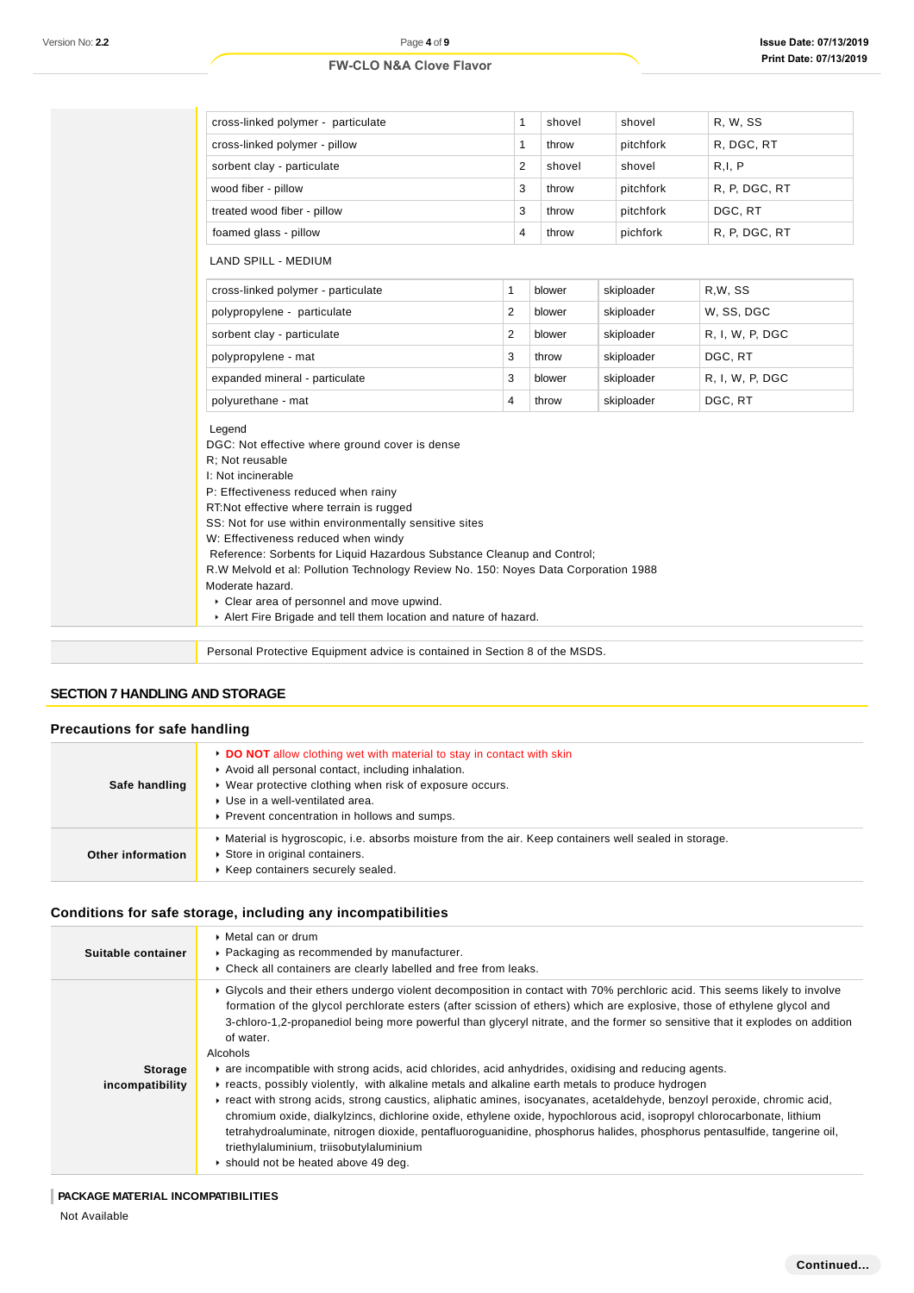| R, W, SS<br>cross-linked polymer - particulate<br>$\mathbf{1}$<br>shovel<br>shovel<br>$\mathbf{1}$<br>R, DGC, RT<br>cross-linked polymer - pillow<br>pitchfork<br>throw<br>R, I, P<br>2<br>sorbent clay - particulate<br>shovel<br>shovel<br>3<br>R, P, DGC, RT<br>pitchfork<br>throw<br>3<br>DGC, RT<br>treated wood fiber - pillow<br>pitchfork<br>throw<br>$\overline{4}$<br>foamed glass - pillow<br>R, P, DGC, RT<br>pichfork<br>throw<br>cross-linked polymer - particulate<br>$\mathbf{1}$<br>blower<br>skiploader<br>R.W. SS<br>2<br>W, SS, DGC<br>polypropylene - particulate<br>blower<br>skiploader<br>2<br>sorbent clay - particulate<br>blower<br>skiploader<br>R, I, W, P, DGC<br>DGC, RT<br>3<br>polypropylene - mat<br>throw<br>skiploader<br>3<br>expanded mineral - particulate<br>blower<br>skiploader<br>R, I, W, P, DGC<br>DGC, RT<br>polyurethane - mat<br>4<br>skiploader<br>throw<br>Reference: Sorbents for Liquid Hazardous Substance Cleanup and Control;<br>R.W Melvold et al: Pollution Technology Review No. 150: Noyes Data Corporation 1988<br>Clear area of personnel and move upwind. |                                                                                                                                                                                                                                                                                                                                                                              |  |  |
|-------------------------------------------------------------------------------------------------------------------------------------------------------------------------------------------------------------------------------------------------------------------------------------------------------------------------------------------------------------------------------------------------------------------------------------------------------------------------------------------------------------------------------------------------------------------------------------------------------------------------------------------------------------------------------------------------------------------------------------------------------------------------------------------------------------------------------------------------------------------------------------------------------------------------------------------------------------------------------------------------------------------------------------------------------------------------------------------------------------------------|------------------------------------------------------------------------------------------------------------------------------------------------------------------------------------------------------------------------------------------------------------------------------------------------------------------------------------------------------------------------------|--|--|
|                                                                                                                                                                                                                                                                                                                                                                                                                                                                                                                                                                                                                                                                                                                                                                                                                                                                                                                                                                                                                                                                                                                         |                                                                                                                                                                                                                                                                                                                                                                              |  |  |
|                                                                                                                                                                                                                                                                                                                                                                                                                                                                                                                                                                                                                                                                                                                                                                                                                                                                                                                                                                                                                                                                                                                         |                                                                                                                                                                                                                                                                                                                                                                              |  |  |
|                                                                                                                                                                                                                                                                                                                                                                                                                                                                                                                                                                                                                                                                                                                                                                                                                                                                                                                                                                                                                                                                                                                         |                                                                                                                                                                                                                                                                                                                                                                              |  |  |
|                                                                                                                                                                                                                                                                                                                                                                                                                                                                                                                                                                                                                                                                                                                                                                                                                                                                                                                                                                                                                                                                                                                         | wood fiber - pillow                                                                                                                                                                                                                                                                                                                                                          |  |  |
|                                                                                                                                                                                                                                                                                                                                                                                                                                                                                                                                                                                                                                                                                                                                                                                                                                                                                                                                                                                                                                                                                                                         |                                                                                                                                                                                                                                                                                                                                                                              |  |  |
|                                                                                                                                                                                                                                                                                                                                                                                                                                                                                                                                                                                                                                                                                                                                                                                                                                                                                                                                                                                                                                                                                                                         |                                                                                                                                                                                                                                                                                                                                                                              |  |  |
|                                                                                                                                                                                                                                                                                                                                                                                                                                                                                                                                                                                                                                                                                                                                                                                                                                                                                                                                                                                                                                                                                                                         | LAND SPILL - MEDIUM                                                                                                                                                                                                                                                                                                                                                          |  |  |
|                                                                                                                                                                                                                                                                                                                                                                                                                                                                                                                                                                                                                                                                                                                                                                                                                                                                                                                                                                                                                                                                                                                         |                                                                                                                                                                                                                                                                                                                                                                              |  |  |
|                                                                                                                                                                                                                                                                                                                                                                                                                                                                                                                                                                                                                                                                                                                                                                                                                                                                                                                                                                                                                                                                                                                         |                                                                                                                                                                                                                                                                                                                                                                              |  |  |
|                                                                                                                                                                                                                                                                                                                                                                                                                                                                                                                                                                                                                                                                                                                                                                                                                                                                                                                                                                                                                                                                                                                         |                                                                                                                                                                                                                                                                                                                                                                              |  |  |
|                                                                                                                                                                                                                                                                                                                                                                                                                                                                                                                                                                                                                                                                                                                                                                                                                                                                                                                                                                                                                                                                                                                         |                                                                                                                                                                                                                                                                                                                                                                              |  |  |
|                                                                                                                                                                                                                                                                                                                                                                                                                                                                                                                                                                                                                                                                                                                                                                                                                                                                                                                                                                                                                                                                                                                         |                                                                                                                                                                                                                                                                                                                                                                              |  |  |
|                                                                                                                                                                                                                                                                                                                                                                                                                                                                                                                                                                                                                                                                                                                                                                                                                                                                                                                                                                                                                                                                                                                         |                                                                                                                                                                                                                                                                                                                                                                              |  |  |
|                                                                                                                                                                                                                                                                                                                                                                                                                                                                                                                                                                                                                                                                                                                                                                                                                                                                                                                                                                                                                                                                                                                         | Legend<br>DGC: Not effective where ground cover is dense<br>R: Not reusable<br>I: Not incinerable<br>P: Effectiveness reduced when rainy<br>RT:Not effective where terrain is rugged<br>SS: Not for use within environmentally sensitive sites<br>W: Effectiveness reduced when windy<br>Moderate hazard.<br>Alert Fire Brigade and tell them location and nature of hazard. |  |  |
|                                                                                                                                                                                                                                                                                                                                                                                                                                                                                                                                                                                                                                                                                                                                                                                                                                                                                                                                                                                                                                                                                                                         | Personal Protective Equipment advice is contained in Section 8 of the MSDS.                                                                                                                                                                                                                                                                                                  |  |  |

# **SECTION 7 HANDLING AND STORAGE**

# **Precautions for safe handling**

| Safe handling     | • DO NOT allow clothing wet with material to stay in contact with skin<br>Avoid all personal contact, including inhalation.<br>▶ Wear protective clothing when risk of exposure occurs.<br>▶ Use in a well-ventilated area.<br>Prevent concentration in hollows and sumps. |
|-------------------|----------------------------------------------------------------------------------------------------------------------------------------------------------------------------------------------------------------------------------------------------------------------------|
| Other information | Material is hygroscopic, i.e. absorbs moisture from the air. Keep containers well sealed in storage.<br>Store in original containers.<br>Keep containers securely sealed.                                                                                                  |

# **Conditions for safe storage, including any incompatibilities**

| Suitable container         | ▶ Metal can or drum<br>• Packaging as recommended by manufacturer.<br>• Check all containers are clearly labelled and free from leaks.                                                                                                                                                                                                                                                                                                                                                                                                                                                                                                                                                                                                                                                                                                                                                                                                                                                                                                                                                       |
|----------------------------|----------------------------------------------------------------------------------------------------------------------------------------------------------------------------------------------------------------------------------------------------------------------------------------------------------------------------------------------------------------------------------------------------------------------------------------------------------------------------------------------------------------------------------------------------------------------------------------------------------------------------------------------------------------------------------------------------------------------------------------------------------------------------------------------------------------------------------------------------------------------------------------------------------------------------------------------------------------------------------------------------------------------------------------------------------------------------------------------|
| Storage<br>incompatibility | ► Glycols and their ethers undergo violent decomposition in contact with 70% perchloric acid. This seems likely to involve<br>formation of the glycol perchlorate esters (after scission of ethers) which are explosive, those of ethylene glycol and<br>3-chloro-1,2-propanediol being more powerful than glyceryl nitrate, and the former so sensitive that it explodes on addition<br>of water.<br>Alcohols<br>are incompatible with strong acids, acid chlorides, acid anhydrides, oxidising and reducing agents.<br>Freacts, possibly violently, with alkaline metals and alkaline earth metals to produce hydrogen<br>Freact with strong acids, strong caustics, aliphatic amines, isocyanates, acetaldehyde, benzoyl peroxide, chromic acid,<br>chromium oxide, dialkylzincs, dichlorine oxide, ethylene oxide, hypochlorous acid, isopropyl chlorocarbonate, lithium<br>tetrahydroaluminate, nitrogen dioxide, pentafluoroguanidine, phosphorus halides, phosphorus pentasulfide, tangerine oil,<br>triethylaluminium, triisobutylaluminium<br>In should not be heated above 49 deg. |

# **PACKAGE MATERIAL INCOMPATIBILITIES**

Not Available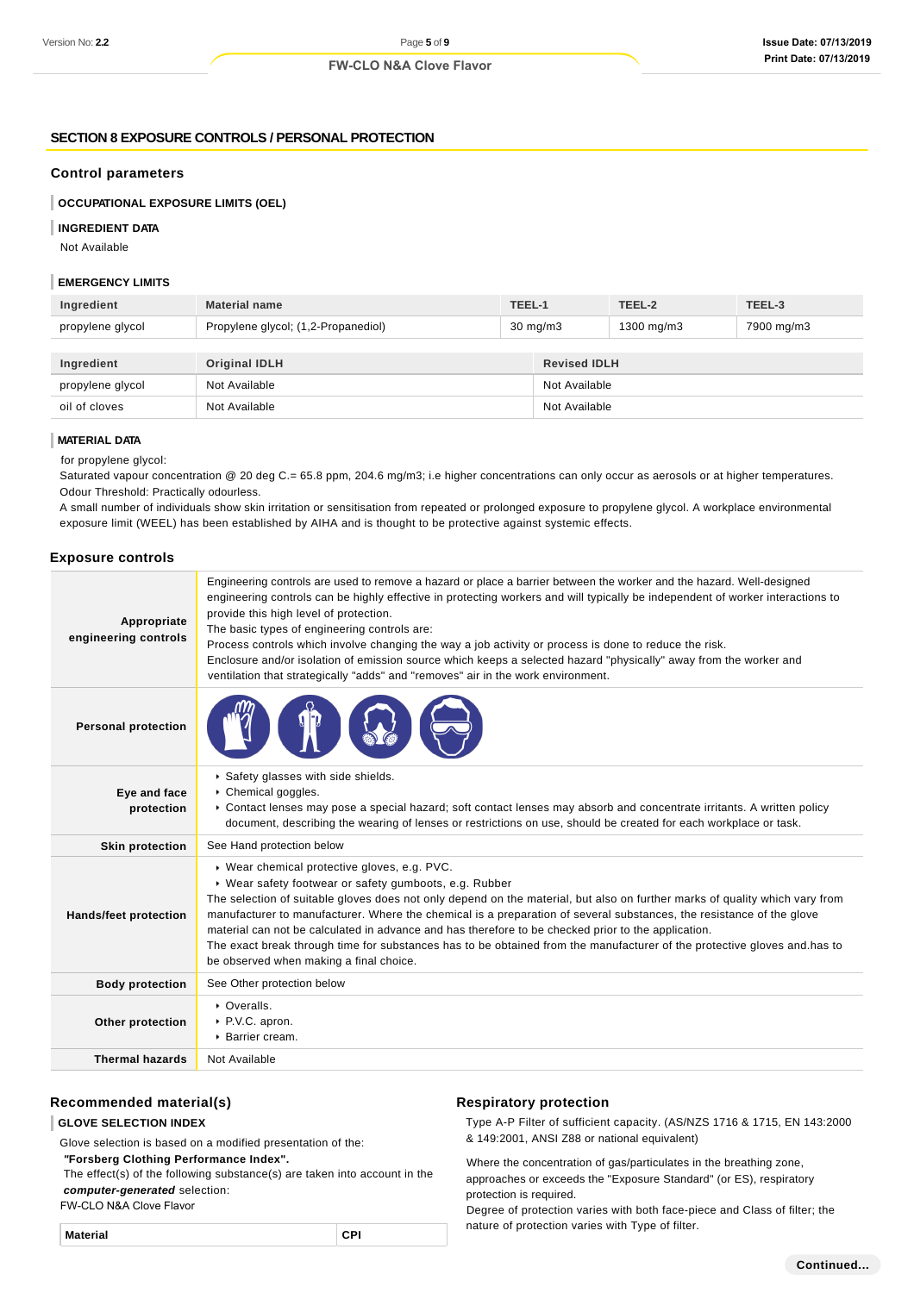# **SECTION 8 EXPOSURE CONTROLS / PERSONAL PROTECTION**

#### **Control parameters**

**OCCUPATIONAL EXPOSURE LIMITS (OEL)**

#### **INGREDIENT DATA**

Not Available

#### **EMERGENCY LIMITS**

| Ingredient       | <b>Material name</b>                | TEEL-1            |                     | TEEL-2     | TEEL-3     |
|------------------|-------------------------------------|-------------------|---------------------|------------|------------|
| propylene glycol | Propylene glycol; (1,2-Propanediol) | $30 \text{ mg/m}$ |                     | 1300 mg/m3 | 7900 mg/m3 |
|                  |                                     |                   |                     |            |            |
| Ingredient       | <b>Original IDLH</b>                |                   | <b>Revised IDLH</b> |            |            |
| propylene glycol | Not Available                       |                   | Not Available       |            |            |
| oil of cloves    | Not Available                       |                   | Not Available       |            |            |

#### **MATERIAL DATA**

for propylene glycol:

Saturated vapour concentration @ 20 deg C.= 65.8 ppm, 204.6 mg/m3; i.e higher concentrations can only occur as aerosols or at higher temperatures. Odour Threshold: Practically odourless.

A small number of individuals show skin irritation or sensitisation from repeated or prolonged exposure to propylene glycol. A workplace environmental exposure limit (WEEL) has been established by AIHA and is thought to be protective against systemic effects.

#### **Exposure controls**

| Appropriate<br>engineering controls | Engineering controls are used to remove a hazard or place a barrier between the worker and the hazard. Well-designed<br>engineering controls can be highly effective in protecting workers and will typically be independent of worker interactions to<br>provide this high level of protection.<br>The basic types of engineering controls are:<br>Process controls which involve changing the way a job activity or process is done to reduce the risk.<br>Enclosure and/or isolation of emission source which keeps a selected hazard "physically" away from the worker and<br>ventilation that strategically "adds" and "removes" air in the work environment. |
|-------------------------------------|--------------------------------------------------------------------------------------------------------------------------------------------------------------------------------------------------------------------------------------------------------------------------------------------------------------------------------------------------------------------------------------------------------------------------------------------------------------------------------------------------------------------------------------------------------------------------------------------------------------------------------------------------------------------|
| <b>Personal protection</b>          |                                                                                                                                                                                                                                                                                                                                                                                                                                                                                                                                                                                                                                                                    |
| Eye and face<br>protection          | Safety glasses with side shields.<br>Chemical goggles.<br>• Contact lenses may pose a special hazard; soft contact lenses may absorb and concentrate irritants. A written policy<br>document, describing the wearing of lenses or restrictions on use, should be created for each workplace or task.                                                                                                                                                                                                                                                                                                                                                               |
| <b>Skin protection</b>              | See Hand protection below                                                                                                                                                                                                                                                                                                                                                                                                                                                                                                                                                                                                                                          |
| <b>Hands/feet protection</b>        | ▶ Wear chemical protective gloves, e.g. PVC.<br>▶ Wear safety footwear or safety gumboots, e.g. Rubber<br>The selection of suitable gloves does not only depend on the material, but also on further marks of quality which vary from<br>manufacturer to manufacturer. Where the chemical is a preparation of several substances, the resistance of the glove<br>material can not be calculated in advance and has therefore to be checked prior to the application.<br>The exact break through time for substances has to be obtained from the manufacturer of the protective gloves and has to<br>be observed when making a final choice.                        |
| <b>Body protection</b>              | See Other protection below                                                                                                                                                                                                                                                                                                                                                                                                                                                                                                                                                                                                                                         |
| Other protection                    | • Overalls.<br>▶ P.V.C. apron.<br>▶ Barrier cream.                                                                                                                                                                                                                                                                                                                                                                                                                                                                                                                                                                                                                 |
| <b>Thermal hazards</b>              | Not Available                                                                                                                                                                                                                                                                                                                                                                                                                                                                                                                                                                                                                                                      |

#### **Recommended material(s)**

**GLOVE SELECTION INDEX**

Glove selection is based on a modified presentation of the:

#### **"Forsberg Clothing Performance Index".**

 The effect(s) of the following substance(s) are taken into account in the **computer-generated** selection:

#### FW-CLO N&A Clove Flavor

# **Respiratory protection**

Type A-P Filter of sufficient capacity. (AS/NZS 1716 & 1715, EN 143:2000 & 149:2001, ANSI Z88 or national equivalent)

Where the concentration of gas/particulates in the breathing zone, approaches or exceeds the "Exposure Standard" (or ES), respiratory protection is required.

Degree of protection varies with both face-piece and Class of filter; the nature of protection varies with Type of filter.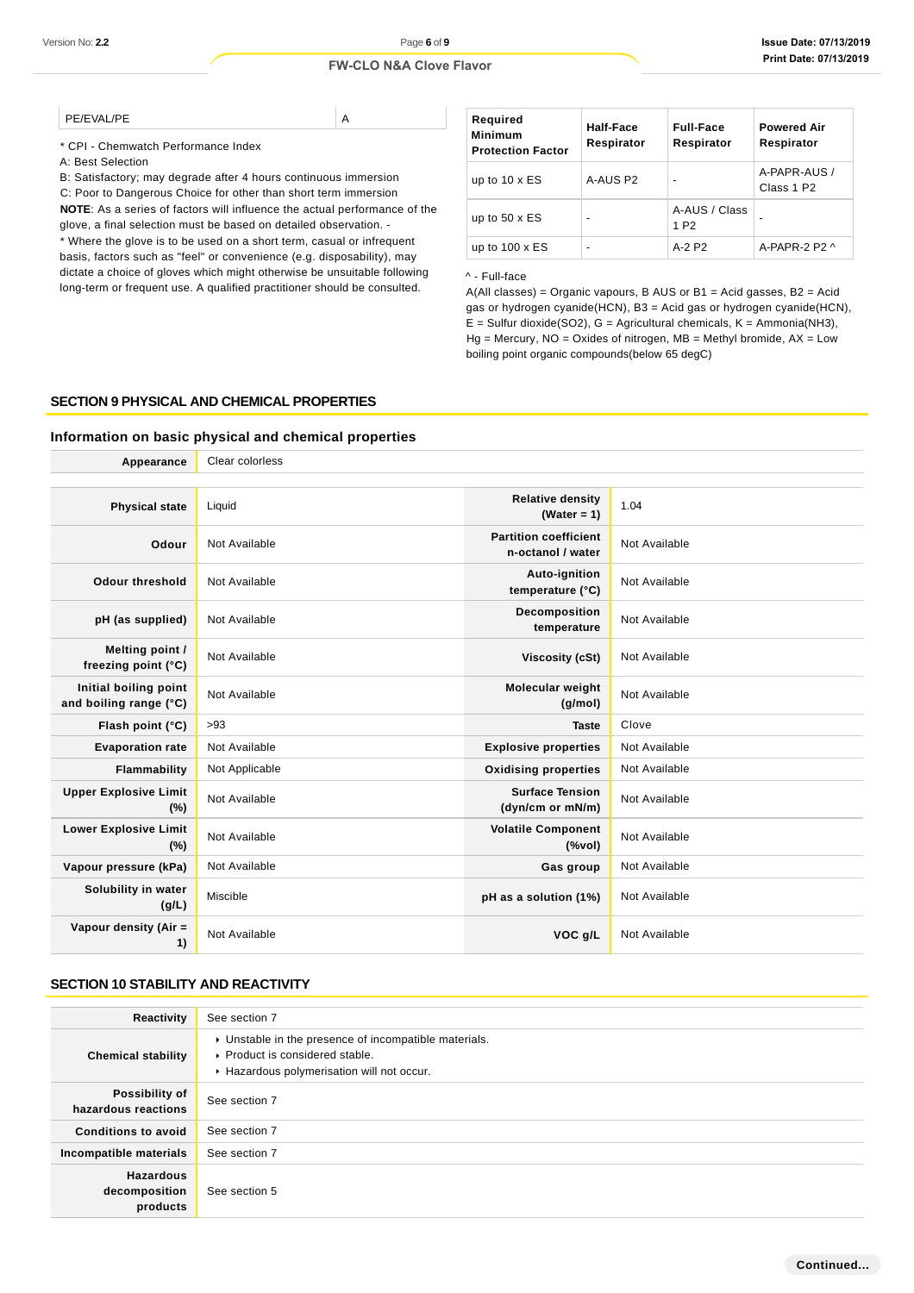| PE/EVAL/PE |  |
|------------|--|
| ______     |  |

| Required<br><b>Minimum</b><br><b>Protection Factor</b> | Half-Face<br>Respirator | <b>Full-Face</b><br>Respirator    | <b>Powered Air</b><br>Respirator       |
|--------------------------------------------------------|-------------------------|-----------------------------------|----------------------------------------|
| up to $10 \times ES$                                   | A-AUS P2                | $\blacksquare$                    | A-PAPR-AUS /<br>Class 1 P <sub>2</sub> |
| up to $50 \times ES$                                   | $\blacksquare$          | A-AUS / Class<br>1 P <sub>2</sub> |                                        |
| up to $100 \times ES$                                  | $\blacksquare$          | $A-2$ P <sub>2</sub>              | A-PAPR-2 P2 $\land$                    |

#### ^ - Full-face

# **SECTION 9 PHYSICAL AND CHEMICAL PROPERTIES**

# **Information on basic physical and chemical properties**

| Version No: 2.2                                 | Page 6 of 9                                                                                                                                                                                                                                                                  |                                                                                                                                                                                                                                                                                                                                                                           |                                                       |                                   | <b>Issue Date: 07/13/201</b>     |  |
|-------------------------------------------------|------------------------------------------------------------------------------------------------------------------------------------------------------------------------------------------------------------------------------------------------------------------------------|---------------------------------------------------------------------------------------------------------------------------------------------------------------------------------------------------------------------------------------------------------------------------------------------------------------------------------------------------------------------------|-------------------------------------------------------|-----------------------------------|----------------------------------|--|
|                                                 | <b>FW-CLO N&amp;A Clove Flavor</b>                                                                                                                                                                                                                                           |                                                                                                                                                                                                                                                                                                                                                                           |                                                       |                                   | Print Date: 07/13/201            |  |
| PE/EVAL/PE                                      |                                                                                                                                                                                                                                                                              |                                                                                                                                                                                                                                                                                                                                                                           |                                                       |                                   |                                  |  |
| * CPI - Chemwatch Performance Index             | Α                                                                                                                                                                                                                                                                            | Required<br><b>Minimum</b><br><b>Protection Factor</b>                                                                                                                                                                                                                                                                                                                    | <b>Half-Face</b><br>Respirator                        | <b>Full-Face</b><br>Respirator    | <b>Powered Air</b><br>Respirator |  |
| A: Best Selection                               | B: Satisfactory; may degrade after 4 hours continuous immersion                                                                                                                                                                                                              | up to $10 \times ES$                                                                                                                                                                                                                                                                                                                                                      | A-AUS P2                                              |                                   | A-PAPR-AUS /<br>Class 1 P2       |  |
|                                                 | C: Poor to Dangerous Choice for other than short term immersion<br><b>NOTE:</b> As a series of factors will influence the actual performance of the<br>glove, a final selection must be based on detailed observation. -                                                     | up to $50 \times ES$                                                                                                                                                                                                                                                                                                                                                      |                                                       | A-AUS / Class<br>1 P <sub>2</sub> |                                  |  |
|                                                 | * Where the glove is to be used on a short term, casual or infrequent                                                                                                                                                                                                        | up to $100 \times ES$                                                                                                                                                                                                                                                                                                                                                     | $\overline{a}$                                        | A-2 P2                            | A-PAPR-2 P2 ^                    |  |
|                                                 | basis, factors such as "feel" or convenience (e.g. disposability), may<br>dictate a choice of gloves which might otherwise be unsuitable following<br>long-term or frequent use. A qualified practitioner should be consulted.<br>SECTION 9 PHYSICAL AND CHEMICAL PROPERTIES | ^ - Full-face<br>$A(All classes) = Organic vapours, B AUS or B1 = Acid gases, B2 = Acid$<br>gas or hydrogen cyanide(HCN), B3 = Acid gas or hydrogen cyanide(HCN),<br>$E =$ Sulfur dioxide(SO2), G = Agricultural chemicals, K = Ammonia(NH3),<br>$Hg$ = Mercury, NO = Oxides of nitrogen, MB = Methyl bromide, AX = Low<br>boiling point organic compounds(below 65 degC) |                                                       |                                   |                                  |  |
|                                                 | Information on basic physical and chemical properties                                                                                                                                                                                                                        |                                                                                                                                                                                                                                                                                                                                                                           |                                                       |                                   |                                  |  |
| Appearance                                      | Clear colorless                                                                                                                                                                                                                                                              |                                                                                                                                                                                                                                                                                                                                                                           |                                                       |                                   |                                  |  |
| <b>Physical state</b>                           | Liquid                                                                                                                                                                                                                                                                       | <b>Relative density</b><br>(Water = 1)                                                                                                                                                                                                                                                                                                                                    | 1.04                                                  |                                   |                                  |  |
| Odour                                           | Not Available                                                                                                                                                                                                                                                                | <b>Partition coefficient</b><br>n-octanol / water                                                                                                                                                                                                                                                                                                                         |                                                       | Not Available                     |                                  |  |
| <b>Odour threshold</b>                          | Not Available                                                                                                                                                                                                                                                                | <b>Auto-ignition</b><br>Not Available<br>temperature (°C)                                                                                                                                                                                                                                                                                                                 |                                                       |                                   |                                  |  |
| pH (as supplied)                                | Not Available                                                                                                                                                                                                                                                                | <b>Decomposition</b><br>temperature                                                                                                                                                                                                                                                                                                                                       |                                                       | Not Available                     |                                  |  |
| Melting point /<br>freezing point (°C)          | Not Available                                                                                                                                                                                                                                                                |                                                                                                                                                                                                                                                                                                                                                                           | Not Available<br>Viscosity (cSt)                      |                                   |                                  |  |
| Initial boiling point<br>and boiling range (°C) | Not Available                                                                                                                                                                                                                                                                | Molecular weight                                                                                                                                                                                                                                                                                                                                                          | (g/mol)                                               | Not Available                     |                                  |  |
| Flash point (°C)<br><b>Evaporation rate</b>     | >93<br>Not Available                                                                                                                                                                                                                                                         | <b>Explosive properties</b>                                                                                                                                                                                                                                                                                                                                               | Clove<br>Taste                                        | Not Available                     |                                  |  |
| <b>Flammability</b>                             | Not Applicable                                                                                                                                                                                                                                                               |                                                                                                                                                                                                                                                                                                                                                                           |                                                       | Not Available                     |                                  |  |
| <b>Upper Explosive Limit</b><br>$(\%)$          | Not Available                                                                                                                                                                                                                                                                | <b>Oxidising properties</b><br><b>Surface Tension</b><br>(dyn/cm or mN/m)                                                                                                                                                                                                                                                                                                 | Not Available                                         |                                   |                                  |  |
| <b>Lower Explosive Limit</b><br>$(\%)$          | Not Available                                                                                                                                                                                                                                                                | <b>Volatile Component</b>                                                                                                                                                                                                                                                                                                                                                 | $(% \mathcal{L}^{\prime }\cap \mathcal{L}^{\prime })$ | Not Available                     |                                  |  |
| Vapour pressure (kPa)                           | Not Available                                                                                                                                                                                                                                                                | Gas group                                                                                                                                                                                                                                                                                                                                                                 |                                                       | Not Available                     |                                  |  |
| Solubility in water<br>(g/L)                    | Miscible                                                                                                                                                                                                                                                                     | pH as a solution (1%)                                                                                                                                                                                                                                                                                                                                                     |                                                       | Not Available                     |                                  |  |
| Vapour density (Air =<br>1)                     | Not Available                                                                                                                                                                                                                                                                |                                                                                                                                                                                                                                                                                                                                                                           | VOC g/L                                               | Not Available                     |                                  |  |
| <b>SECTION 10 STABILITY AND REACTIVITY</b>      |                                                                                                                                                                                                                                                                              |                                                                                                                                                                                                                                                                                                                                                                           |                                                       |                                   |                                  |  |
| Reactivity                                      | See section 7                                                                                                                                                                                                                                                                |                                                                                                                                                                                                                                                                                                                                                                           |                                                       |                                   |                                  |  |
| <b>Chemical stability</b>                       | • Unstable in the presence of incompatible materials.<br>Product is considered stable.<br>Hazardous polymerisation will not occur.                                                                                                                                           |                                                                                                                                                                                                                                                                                                                                                                           |                                                       |                                   |                                  |  |
| Possibility of<br>hazardous reactions           | See section 7                                                                                                                                                                                                                                                                |                                                                                                                                                                                                                                                                                                                                                                           |                                                       |                                   |                                  |  |
| <b>Conditions to avoid</b>                      | See section 7                                                                                                                                                                                                                                                                |                                                                                                                                                                                                                                                                                                                                                                           |                                                       |                                   |                                  |  |
| Incompatible materials                          | See section 7                                                                                                                                                                                                                                                                |                                                                                                                                                                                                                                                                                                                                                                           |                                                       |                                   |                                  |  |
| Hazardous<br>decomposition                      | See section 5                                                                                                                                                                                                                                                                |                                                                                                                                                                                                                                                                                                                                                                           |                                                       |                                   |                                  |  |

# **SECTION 10 STABILITY AND REACTIVITY**

| Reactivity                                    | See section 7                                                                                                                        |
|-----------------------------------------------|--------------------------------------------------------------------------------------------------------------------------------------|
| <b>Chemical stability</b>                     | • Unstable in the presence of incompatible materials.<br>▶ Product is considered stable.<br>Hazardous polymerisation will not occur. |
| Possibility of<br>hazardous reactions         | See section 7                                                                                                                        |
| <b>Conditions to avoid</b>                    | See section 7                                                                                                                        |
| Incompatible materials                        | See section 7                                                                                                                        |
| <b>Hazardous</b><br>decomposition<br>products | See section 5                                                                                                                        |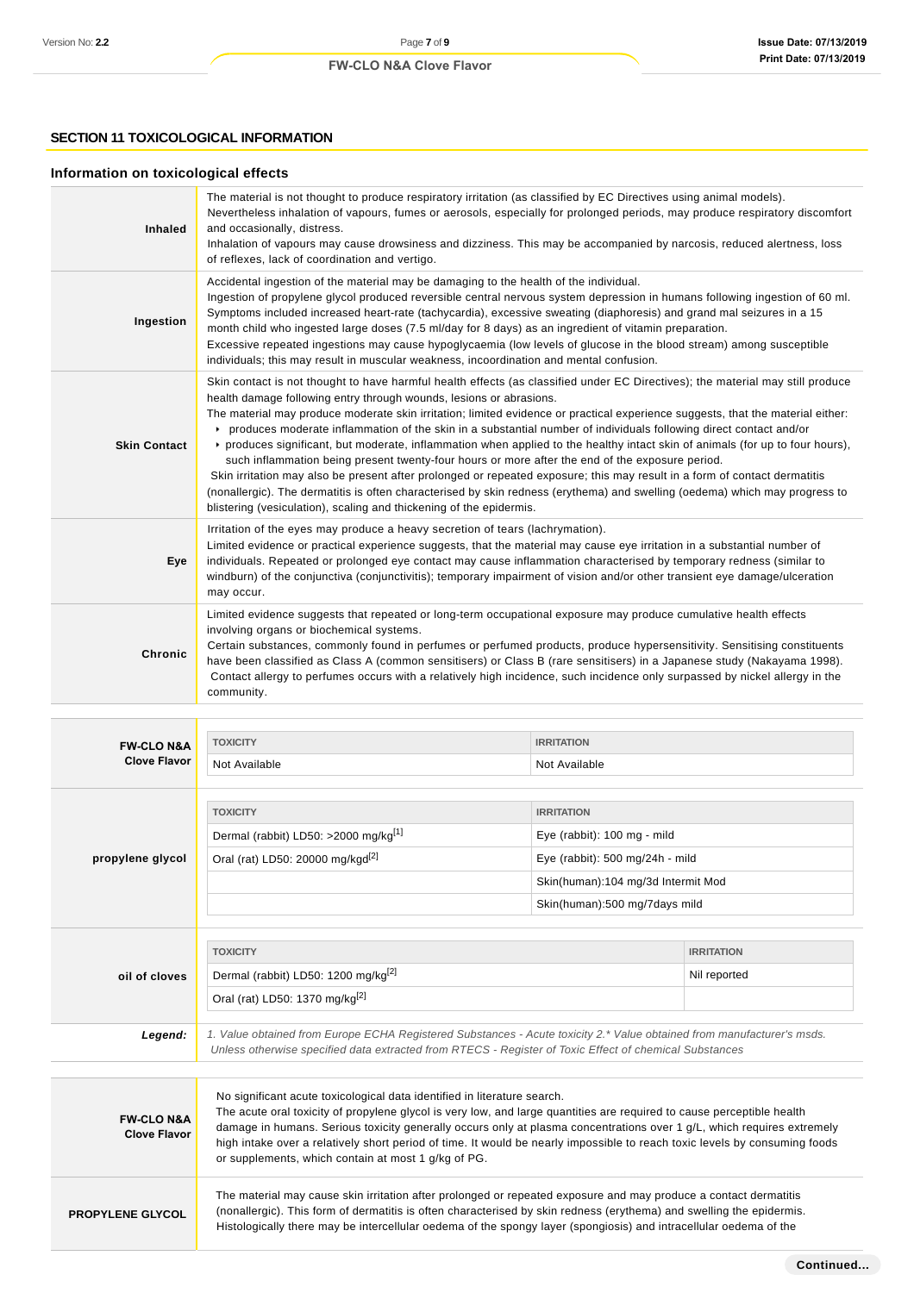# **SECTION 11 TOXICOLOGICAL INFORMATION**

# **Information on toxicological effects**

| <b>Inhaled</b>      | The material is not thought to produce respiratory irritation (as classified by EC Directives using animal models).<br>Nevertheless inhalation of vapours, fumes or aerosols, especially for prolonged periods, may produce respiratory discomfort<br>and occasionally, distress.<br>Inhalation of vapours may cause drowsiness and dizziness. This may be accompanied by narcosis, reduced alertness, loss<br>of reflexes, lack of coordination and vertigo.                                                                                                                                                                                                                                                                                                                                                                                                                                                                                                                                                                          |
|---------------------|----------------------------------------------------------------------------------------------------------------------------------------------------------------------------------------------------------------------------------------------------------------------------------------------------------------------------------------------------------------------------------------------------------------------------------------------------------------------------------------------------------------------------------------------------------------------------------------------------------------------------------------------------------------------------------------------------------------------------------------------------------------------------------------------------------------------------------------------------------------------------------------------------------------------------------------------------------------------------------------------------------------------------------------|
| Ingestion           | Accidental ingestion of the material may be damaging to the health of the individual.<br>Ingestion of propylene glycol produced reversible central nervous system depression in humans following ingestion of 60 ml.<br>Symptoms included increased heart-rate (tachycardia), excessive sweating (diaphoresis) and grand mal seizures in a 15<br>month child who ingested large doses (7.5 ml/day for 8 days) as an ingredient of vitamin preparation.<br>Excessive repeated ingestions may cause hypoglycaemia (low levels of glucose in the blood stream) among susceptible<br>individuals; this may result in muscular weakness, incoordination and mental confusion.                                                                                                                                                                                                                                                                                                                                                               |
| <b>Skin Contact</b> | Skin contact is not thought to have harmful health effects (as classified under EC Directives); the material may still produce<br>health damage following entry through wounds, lesions or abrasions.<br>The material may produce moderate skin irritation; limited evidence or practical experience suggests, that the material either:<br>▶ produces moderate inflammation of the skin in a substantial number of individuals following direct contact and/or<br>► produces significant, but moderate, inflammation when applied to the healthy intact skin of animals (for up to four hours),<br>such inflammation being present twenty-four hours or more after the end of the exposure period.<br>Skin irritation may also be present after prolonged or repeated exposure; this may result in a form of contact dermatitis<br>(nonallergic). The dermatitis is often characterised by skin redness (erythema) and swelling (oedema) which may progress to<br>blistering (vesiculation), scaling and thickening of the epidermis. |
| Eye                 | Irritation of the eyes may produce a heavy secretion of tears (lachrymation).<br>Limited evidence or practical experience suggests, that the material may cause eye irritation in a substantial number of<br>individuals. Repeated or prolonged eye contact may cause inflammation characterised by temporary redness (similar to<br>windburn) of the conjunctiva (conjunctivitis); temporary impairment of vision and/or other transient eye damage/ulceration<br>may occur.                                                                                                                                                                                                                                                                                                                                                                                                                                                                                                                                                          |
| <b>Chronic</b>      | Limited evidence suggests that repeated or long-term occupational exposure may produce cumulative health effects<br>involving organs or biochemical systems.<br>Certain substances, commonly found in perfumes or perfumed products, produce hypersensitivity. Sensitising constituents<br>have been classified as Class A (common sensitisers) or Class B (rare sensitisers) in a Japanese study (Nakayama 1998).<br>Contact allergy to perfumes occurs with a relatively high incidence, such incidence only surpassed by nickel allergy in the<br>community.                                                                                                                                                                                                                                                                                                                                                                                                                                                                        |

| <b>FW-CLO N&amp;A</b>                        | <b>TOXICITY</b>                                                                                                                                                                                                                                  | <b>IRRITATION</b>                  |                   |
|----------------------------------------------|--------------------------------------------------------------------------------------------------------------------------------------------------------------------------------------------------------------------------------------------------|------------------------------------|-------------------|
| <b>Clove Flavor</b>                          | Not Available                                                                                                                                                                                                                                    | Not Available                      |                   |
|                                              |                                                                                                                                                                                                                                                  |                                    |                   |
|                                              | <b>TOXICITY</b>                                                                                                                                                                                                                                  | <b>IRRITATION</b>                  |                   |
|                                              | Dermal (rabbit) LD50: >2000 mg/kg <sup>[1]</sup>                                                                                                                                                                                                 | Eye (rabbit): 100 mg - mild        |                   |
| propylene glycol                             | Oral (rat) LD50: 20000 mg/kgd <sup>[2]</sup>                                                                                                                                                                                                     | Eye (rabbit): 500 mg/24h - mild    |                   |
|                                              |                                                                                                                                                                                                                                                  | Skin(human):104 mg/3d Intermit Mod |                   |
|                                              |                                                                                                                                                                                                                                                  | Skin(human):500 mg/7days mild      |                   |
|                                              |                                                                                                                                                                                                                                                  |                                    |                   |
|                                              | <b>TOXICITY</b>                                                                                                                                                                                                                                  |                                    | <b>IRRITATION</b> |
| oil of cloves                                | Dermal (rabbit) LD50: 1200 mg/kg <sup>[2]</sup>                                                                                                                                                                                                  |                                    | Nil reported      |
|                                              | Oral (rat) LD50: 1370 mg/kg <sup>[2]</sup>                                                                                                                                                                                                       |                                    |                   |
| Legend:                                      | 1. Value obtained from Europe ECHA Registered Substances - Acute toxicity 2.* Value obtained from manufacturer's msds.                                                                                                                           |                                    |                   |
|                                              | Unless otherwise specified data extracted from RTECS - Register of Toxic Effect of chemical Substances                                                                                                                                           |                                    |                   |
|                                              |                                                                                                                                                                                                                                                  |                                    |                   |
|                                              | No significant acute toxicological data identified in literature search.                                                                                                                                                                         |                                    |                   |
| <b>FW-CLO N&amp;A</b><br><b>Clove Flavor</b> | The acute oral toxicity of propylene glycol is very low, and large quantities are required to cause perceptible health<br>damage in humans. Serious toxicity generally occurs only at plasma concentrations over 1 g/L, which requires extremely |                                    |                   |
|                                              | high intake over a relatively short period of time. It would be nearly impossible to reach toxic levels by consuming foods                                                                                                                       |                                    |                   |
|                                              | or supplements, which contain at most 1 g/kg of PG.                                                                                                                                                                                              |                                    |                   |
|                                              | The material may cause skin irritation after prolonged or repeated exposure and may produce a contact dermatitis                                                                                                                                 |                                    |                   |
| <b>PROPYLENE GLYCOL</b>                      | (nonallergic). This form of dermatitis is often characterised by skin redness (erythema) and swelling the epidermis.<br>Histologically there may be intercellular oedema of the spongy layer (spongiosis) and intracellular oedema of the        |                                    |                   |
|                                              |                                                                                                                                                                                                                                                  |                                    |                   |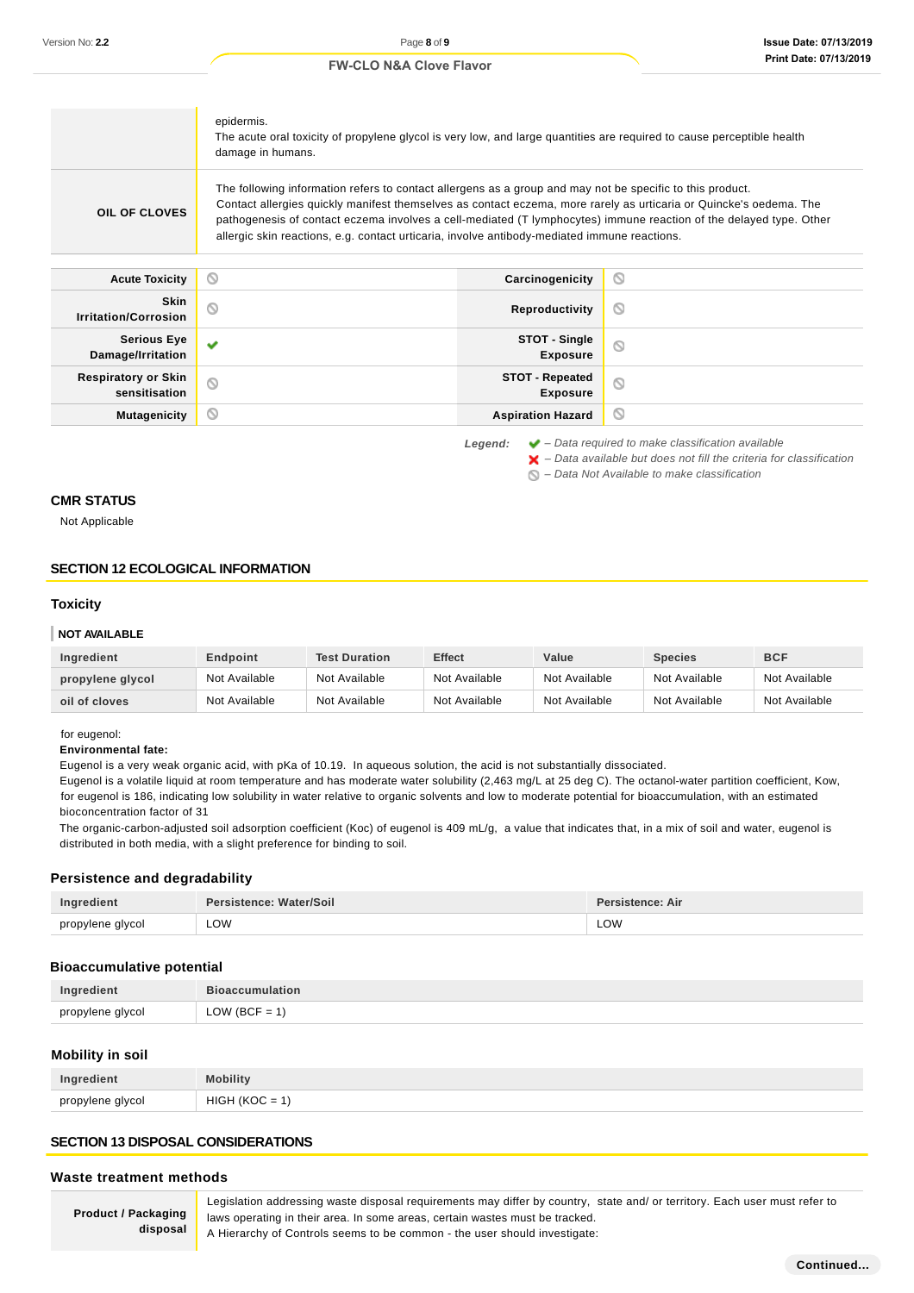$\blacktriangleright$  – Data available but does not fill the criteria for classification

 $\bigcirc$  – Data Not Available to make classification

#### **FW-CLO N&A Clove Flavor**

|                                             | epidermis.<br>The acute oral toxicity of propylene glycol is very low, and large quantities are required to cause perceptible health<br>damage in humans.                                                                                                                                                                                                                                                                                             |         |
|---------------------------------------------|-------------------------------------------------------------------------------------------------------------------------------------------------------------------------------------------------------------------------------------------------------------------------------------------------------------------------------------------------------------------------------------------------------------------------------------------------------|---------|
| <b>OIL OF CLOVES</b>                        | The following information refers to contact allergens as a group and may not be specific to this product.<br>Contact allergies quickly manifest themselves as contact eczema, more rarely as urticaria or Quincke's oedema. The<br>pathogenesis of contact eczema involves a cell-mediated (T lymphocytes) immune reaction of the delayed type. Other<br>allergic skin reactions, e.g. contact urticaria, involve antibody-mediated immune reactions. |         |
|                                             |                                                                                                                                                                                                                                                                                                                                                                                                                                                       |         |
| <b>Acute Toxicity</b>                       | O<br>Carcinogenicity                                                                                                                                                                                                                                                                                                                                                                                                                                  | O       |
| <b>Skin</b><br><b>Irritation/Corrosion</b>  | Q<br>Reproductivity                                                                                                                                                                                                                                                                                                                                                                                                                                   | O       |
| <b>Serious Eye</b><br>Damage/Irritation     | STOT - Single<br>v<br><b>Exposure</b>                                                                                                                                                                                                                                                                                                                                                                                                                 | $\circ$ |
| <b>Respiratory or Skin</b><br>sensitisation | <b>STOT - Repeated</b><br>Q<br><b>Exposure</b>                                                                                                                                                                                                                                                                                                                                                                                                        | Q       |

**CMR STATUS**

Not Applicable

### **SECTION 12 ECOLOGICAL INFORMATION**

#### **Toxicity**

#### **NOT AVAILABLE**

| Ingredient       | Endpoint      | <b>Test Duration</b> | <b>Effect</b> | Value         | <b>Species</b> | <b>BCF</b>    |
|------------------|---------------|----------------------|---------------|---------------|----------------|---------------|
| propylene glycol | Not Available | Not Available        | Not Available | Not Available | Not Available  | Not Available |
| oil of cloves    | Not Available | Not Available        | Not Available | Not Available | Not Available  | Not Available |

#### for eugenol:

#### **Environmental fate:**

Eugenol is a very weak organic acid, with pKa of 10.19. In aqueous solution, the acid is not substantially dissociated.

Eugenol is a volatile liquid at room temperature and has moderate water solubility (2,463 mg/L at 25 deg C). The octanol-water partition coefficient, Kow, for eugenol is 186, indicating low solubility in water relative to organic solvents and low to moderate potential for bioaccumulation, with an estimated bioconcentration factor of 31

The organic-carbon-adjusted soil adsorption coefficient (Koc) of eugenol is 409 mL/g, a value that indicates that, in a mix of soil and water, eugenol is distributed in both media, with a slight preference for binding to soil.

#### **Persistence and degradability**

| Ingredient       | Persistence: Water/Soil | Persistence: Air |
|------------------|-------------------------|------------------|
| propylene glycol | LOW                     | LOW              |

# **Bioaccumulative potential**

| Ingredient       | <b>Bioaccumulation</b> |
|------------------|------------------------|
| propylene glycol | $LOW (BCF = 1)$        |

#### **Mobility in soil**

| nro |  |
|-----|--|

#### **SECTION 13 DISPOSAL CONSIDERATIONS**

#### **Waste treatment methods**

**Product / Packaging disposal**

Legislation addressing waste disposal requirements may differ by country, state and/ or territory. Each user must refer to laws operating in their area. In some areas, certain wastes must be tracked. A Hierarchy of Controls seems to be common - the user should investigate: